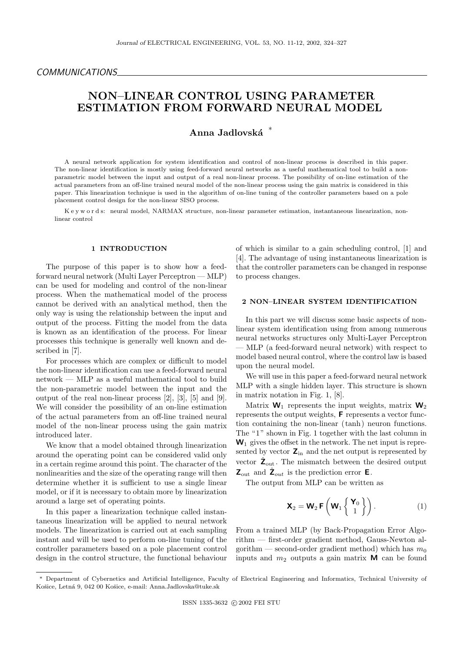# NON–LINEAR CONTROL USING PARAMETER ESTIMATION FROM FORWARD NEURAL MODEL

# Anna Jadlovská<sup>\*</sup>

A neural network application for system identification and control of non-linear process is described in this paper. The non-linear identification is mostly using feed-forward neural networks as a useful mathematical tool to build a nonparametric model between the input and output of a real non-linear process. The possibility of on-line estimation of the actual parameters from an off-line trained neural model of the non-linear process using the gain matrix is considered in this paper. This linearization technique is used in the algorithm of on-line tuning of the controller parameters based on a pole placement control design for the non-linear SISO process.

K e y w o r d s: neural model, NARMAX structure, non-linear parameter estimation, instantaneous linearization, nonlinear control

#### 1 INTRODUCTION

The purpose of this paper is to show how a feedforward neural network (Multi Layer Perceptron — MLP) can be used for modeling and control of the non-linear process. When the mathematical model of the process cannot be derived with an analytical method, then the only way is using the relationship between the input and output of the process. Fitting the model from the data is known as an identification of the process. For linear processes this technique is generally well known and described in [7].

For processes which are complex or difficult to model the non-linear identification can use a feed-forward neural network — MLP as a useful mathematical tool to build the non-parametric model between the input and the output of the real non-linear process [2], [3], [5] and [9]. We will consider the possibility of an on-line estimation of the actual parameters from an off-line trained neural model of the non-linear process using the gain matrix introduced later.

We know that a model obtained through linearization around the operating point can be considered valid only in a certain regime around this point. The character of the nonlinearities and the size of the operating range will then determine whether it is sufficient to use a single linear model, or if it is necessary to obtain more by linearization around a large set of operating points.

In this paper a linearization technique called instantaneous linearization will be applied to neural network models. The linearization is carried out at each sampling instant and will be used to perform on-line tuning of the controller parameters based on a pole placement control design in the control structure, the functional behaviour of which is similar to a gain scheduling control, [1] and [4]. The advantage of using instantaneous linearization is that the controller parameters can be changed in response to process changes.

# 2 NON–LINEAR SYSTEM IDENTIFICATION

In this part we will discuss some basic aspects of nonlinear system identification using from among numerous neural networks structures only Multi-Layer Perceptron — MLP (a feed-forward neural network) with respect to model based neural control, where the control law is based upon the neural model.

We will use in this paper a feed-forward neural network MLP with a single hidden layer. This structure is shown in matrix notation in Fig. 1, [8].

Matrix  $\mathbf{W}_1$  represents the input weights, matrix  $\mathbf{W}_2$ represents the output weights, F represents a vector function containing the non-linear ( tanh ) neuron functions. The "1" shown in Fig. 1 together with the last column in  $W_1$  gives the offset in the network. The net input is represented by vector  $\mathbf{Z}_{\text{in}}$  and the net output is represented by vector  $\hat{\mathsf{Z}}_{\text{out}}$ . The mismatch between the desired output  $\mathsf{Z}_{\text{out}}$  and  $\hat{\mathsf{Z}}_{\text{out}}$  is the prediction error **E**.

The output from MLP can be written as

$$
\mathbf{X}_2 = \mathbf{W}_2 \mathbf{F} \left( \mathbf{W}_1 \left\{ \begin{array}{c} \mathbf{Y}_0 \\ 1 \end{array} \right\} \right). \tag{1}
$$

From a trained MLP (by Back-Propagation Error Algorithm — first-order gradient method, Gauss-Newton algorithm — second-order gradient method) which has  $m_0$ inputs and  $m_2$  outputs a gain matrix **M** can be found

<sup>∗</sup> Department of Cybernetics and Artificial Intelligence, Faculty of Electrical Engineering and Informatics, Technical University of Košice, Letná 9, 042 00 Košice, e-mail: Anna.Jadlovska@tuke.sk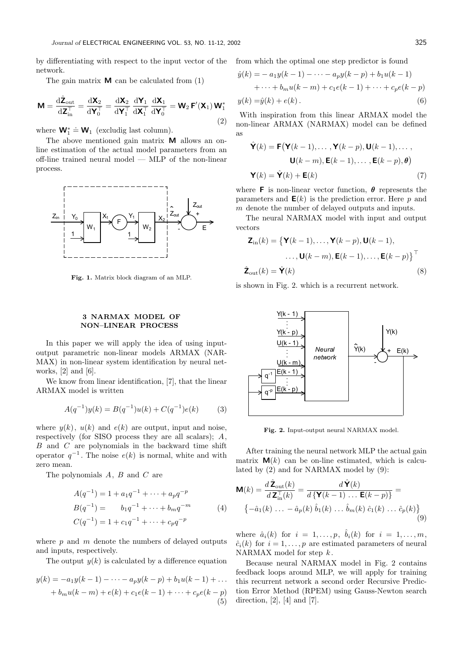by differentiating with respect to the input vector of the network.

The gain matrix  $\bf{M}$  can be calculated from (1)

$$
\mathbf{M} = \frac{\mathrm{d}\hat{\mathbf{Z}}_{\text{out}}}{\mathrm{d}\mathbf{Z}_{\text{in}}^{\top}} = \frac{\mathrm{d}\mathbf{X}_{2}}{\mathrm{d}\mathbf{Y}_{0}^{\top}} = \frac{\mathrm{d}\mathbf{X}_{2}}{\mathrm{d}\mathbf{Y}_{1}^{\top}} \frac{\mathrm{d}\mathbf{Y}_{1}}{\mathrm{d}\mathbf{X}_{1}^{\top}} \frac{\mathrm{d}\mathbf{X}_{1}}{\mathrm{d}\mathbf{Y}_{0}^{\top}} = \mathbf{W}_{2} \mathbf{F}'(\mathbf{X}_{1}) \mathbf{W}_{1}^{*}
$$
\n(2)

where  $\mathbf{W}_1^* \doteq \mathbf{W}_1$  (excludig last column).

The above mentioned gain matrix **M** allows an online estimation of the actual model parameters from an off-line trained neural model — MLP of the non-linear process.



Fig. 1. Matrix block diagram of an MLP.

# 3 NARMAX MODEL OF NON–LINEAR PROCESS

In this paper we will apply the idea of using inputoutput parametric non-linear models ARMAX (NAR-MAX) in non-linear system identification by neural networks,  $[2]$  and  $[6]$ .

We know from linear identification, [7], that the linear ARMAX model is written

$$
A(q^{-1})y(k) = B(q^{-1})u(k) + C(q^{-1})e(k)
$$
 (3)

where  $y(k)$ ,  $u(k)$  and  $e(k)$  are output, input and noise, respectively (for SISO process they are all scalars); A,  $B$  and  $C$  are polynomials in the backward time shift operator  $q^{-1}$ . The noise  $e(k)$  is normal, white and with zero mean.

The polynomials A, B and C are

$$
A(q^{-1}) = 1 + a_1 q^{-1} + \dots + a_p q^{-p}
$$
  
\n
$$
B(q^{-1}) = b_1 q^{-1} + \dots + b_m q^{-m}
$$
  
\n
$$
C(q^{-1}) = 1 + c_1 q^{-1} + \dots + c_p q^{-p}
$$
\n(4)

where  $p$  and  $m$  denote the numbers of delayed outputs and inputs, respectively.

The output  $y(k)$  is calculated by a difference equation

$$
y(k) = -a_1y(k-1) - \dots - a_py(k-p) + b_1u(k-1) + \dots
$$
  
+ 
$$
b_mu(k-m) + e(k) + c_1e(k-1) + \dots + c_pe(k-p)
$$
  
(5)

from which the optimal one step predictor is found

$$
\hat{y}(k) = -a_1y(k-1) - \dots - a_py(k-p) + b_1u(k-1) \n+ \dots + b_mu(k-m) + c_1e(k-1) + \dots + c_pe(k-p) \ny(k) = \hat{y}(k) + e(k).
$$
\n(6)

With inspiration from this linear ARMAX model the non-linear ARMAX (NARMAX) model can be defined as

$$
\hat{\mathbf{Y}}(k) = \mathbf{F}(\mathbf{Y}(k-1), \dots, \mathbf{Y}(k-p), \mathbf{U}(k-1), \dots, \mathbf{U}(k-m), \mathbf{E}(k-1), \dots, \mathbf{E}(k-p), \theta)
$$

$$
\mathbf{Y}(k) = \hat{\mathbf{Y}}(k) + \mathbf{E}(k) \tag{7}
$$

where **F** is non-linear vector function,  $\theta$  represents the parameters and  $E(k)$  is the prediction error. Here p and m denote the number of delayed outputs and inputs.

The neural NARMAX model with input and output vectors

$$
\mathbf{Z}_{\text{in}}(k) = \{ \mathbf{Y}(k-1), \dots, \mathbf{Y}(k-p), \mathbf{U}(k-1),
$$

$$
\dots, \mathbf{U}(k-m), \mathbf{E}(k-1), \dots, \mathbf{E}(k-p) \}^{\top}
$$

$$
\hat{\mathbf{Z}}_{\text{out}}(k) = \hat{\mathbf{Y}}(k)
$$
(8)

is shown in Fig. 2. which is a recurrent network.



Fig. 2. Input-output neural NARMAX model.

After training the neural network MLP the actual gain matrix  $\mathbf{M}(k)$  can be on-line estimated, which is calculated by (2) and for NARMAX model by (9):

$$
\mathbf{M}(k) = \frac{d\,\hat{\mathbf{Z}}_{\text{out}}(k)}{d\,\mathbf{Z}_{\text{in}}^{\top}(k)} = \frac{d\,\hat{\mathbf{Y}}(k)}{d\,\{\mathbf{Y}(k-1)\,\ldots\,\mathbf{E}(k-p)\}} = \left\{-\hat{a}_1(k)\,\ldots\,-\,\hat{a}_p(k)\,\hat{b}_1(k)\,\ldots\,\hat{b}_m(k)\,\hat{c}_1(k)\,\ldots\,\hat{c}_p(k)\right\}
$$
\n(9)

where  $\hat{a}_i(k)$  for  $i = 1, \ldots, p$ ,  $\hat{b}_i(k)$  for  $i = 1, \ldots, m$ ,  $\hat{c}_i(k)$  for  $i = 1, \ldots, p$  are estimated parameters of neural NARMAX model for step  $k$ .

Because neural NARMAX model in Fig. 2 contains feedback loops around MLP, we will apply for training this recurrent network a second order Recursive Prediction Error Method (RPEM) using Gauss-Newton search direction,  $[2]$ ,  $[4]$  and  $[7]$ .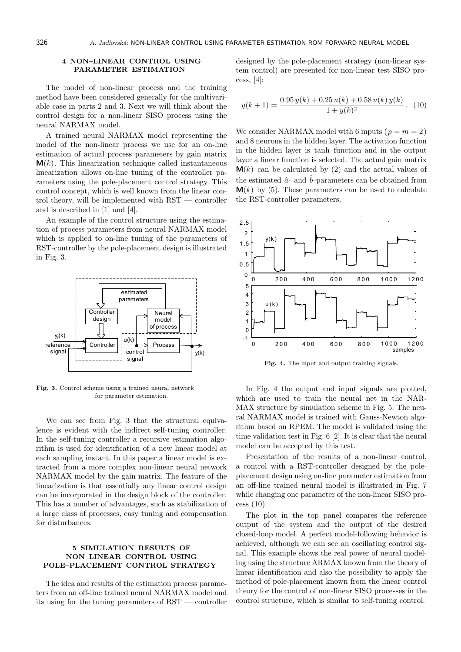# 4 NON–LINEAR CONTROL USING PARAMETER ESTIMATION

The model of non-linear process and the training method have been considered generally for the multivariable case in parts 2 and 3. Next we will think about the control design for a non-linear SISO process using the neural NARMAX model.

A trained neural NARMAX model representing the model of the non-linear process we use for an on-line estimation of actual process parameters by gain matrix **. This linearization technique called instantaneous** linearization allows on-line tuning of the controller parameters using the pole-placement control strategy. This control concept, which is well known from the linear control theory, will be implemented with RST — controller and is described in [1] and [4].

An example of the control structure using the estimation of process parameters from neural NARMAX model which is applied to on-line tuning of the parameters of RST-controller by the pole-placement design is illustrated in Fig. 3.



Fig. 3. Control scheme using a trained neural network for parameter estimation.

We can see from Fig. 3 that the structural equivalence is evident with the indirect self-tuning controller. In the self-tuning controller a recursive estimation algorithm is used for identification of a new linear model at each sampling instant. In this paper a linear model is extracted from a more complex non-linear neural network NARMAX model by the gain matrix. The feature of the linearization is that essentially any linear control design can be incorporated in the design block of the controller. This has a number of advantages, such as stabilization of a large class of processes, easy tuning and compensation for disturbances.

# 5 SIMULATION RESULTS OF NON–LINEAR CONTROL USING POLE–PLACEMENT CONTROL STRATEGY

The idea and results of the estimation process parameters from an off-line trained neural NARMAX model and its using for the tuning parameters of RST — controller designed by the pole-placement strategy (non-linear system control) are presented for non-linear test SISO process, [4]:

$$
y(k+1) = \frac{0.95 y(k) + 0.25 u(k) + 0.58 u(k) y(k)}{1 + y(k)^2}.
$$
 (10)

We consider NARMAX model with 6 inputs ( $p = m = 2$ ) and 8 neurons in the hidden layer. The activation function in the hidden layer is tanh function and in the output layer a linear function is selected. The actual gain matrix  $\mathbf{M}(k)$  can be calculated by (2) and the actual values of the estimated  $\hat{a}$ - and  $\hat{b}$ -parameters can be obtained from  $\mathbf{M}(k)$  by (5). These parameters can be used to calculate the RST-controller parameters.



Fig. 4. The input and output training signals.

In Fig. 4 the output and input signals are plotted, which are used to train the neural net in the NAR-MAX structure by simulation scheme in Fig. 5. The neural NARMAX model is trained with Gauss-Newton algorithm based on RPEM. The model is validated using the time validation test in Fig. 6 [2]. It is clear that the neural model can be accepted by this test.

Presentation of the results of a non-linear control, a control with a RST-controller designed by the poleplacement design using on-line parameter estimation from an off-line trained neural model is illustrated in Fig. 7 while changing one parameter of the non-linear SISO process (10).

The plot in the top panel compares the reference output of the system and the output of the desired closed-loop model. A perfect model-following behavior is achieved, although we can see an oscillating control signal. This example shows the real power of neural modeling using the structure ARMAX known from the theory of linear identification and also the possibility to apply the method of pole-placement known from the linear control theory for the control of non-linear SISO processes in the control structure, which is similar to self-tuning control.